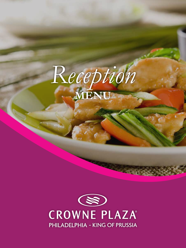

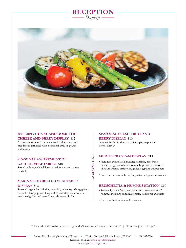# **RECEPTION** *Displays*



# **INTERNATIONAL AND DOMESTIC**

**CHEESE AND BERRY DISPLAY** \$12

Assortment of sliced cheeses served with crackers and breadsticks garnished with a seasonal array of grapes and berries

# **SEASONAL ASSORTMENT OF**

## **GARDEN VEGETABLES** \$10

Served with vegetable dill, sun-dried tomato and smoky ranch dips

## **MARINATED GRILLED VEGETABLE DISPLAY** \$12

Seasonal vegetables including zucchini, yellow squash, eggplant, red and yellow peppers along with Portobello mushrooms are marinated grilled and served in an elaborate display

# **SEASONAL FRESH FRUIT AND BERRY DISPLAY** \$10

Seasonal fresh sliced melons, pineapple, grapes, and berries display

## **MEDITTERANEAN DISPLAY** \$18

- Hummus with pita chips, sliced capicola, prosciutto, pepperoni, genoa salami, mozzarella, provolone, assorted olives, marinated artichokes, grilled eggplant and peppers
- Served with focaccia bread, baguettes and gourmet crackers

# **BRUSCHETTA & HUMMUS STATION** \$10

- Seasonally made fresh bruschetta and three varieties of hummus including sundried tomato, traditional and pesto
- Served with pita chips and croustades

\*Please add 23% taxable service charge and 6% state sales tax to all menu prices\* | \*Prices subject to change\*

Crowne Plaza Philadelphia - King of Prussia • 260 Mall Boulevard, King of Prussia, PA 19406 • 610-265-7500 Reservations Email: Sales@cpvalleyforge.com www.cpvalleyforge.com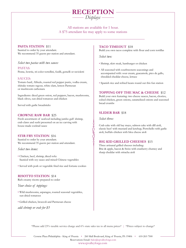

All stations are available for 1 hour. A \$75 attendant fee may apply to some stations

## **PASTA STATION** \$11

Sautéed to order by your attendant. We recommend 35 guests per station and attendant.

## *Select two pastas with two sauces*

PASTAS: Penne, bowtie, tri-color tortellini, fusilli, gemelli or ravioletti

## SAUCES:

Tomato basil, Alfredo, roasted red pepper purée, vodka cream, shiitake tomato ragout, white clam, lemon Parmesan or mushroom carbonara

Ingredients: diced green onion, red peppers, bacon, mushrooms, black olives, sun-dried tomatoes and chicken

Served with garlic breadsticks

## **CROWNE RAW BAR** \$25

Fresh assortment of seafood including jumbo gulf shrimp, crab claws and sushi presented on an ice carving with house-made cocktail sauce

## **STIR FRY STATION** \$16

Sautéed to order by your attendant. We recommend 35 guests per station and attendant.

*Select two items:*

- Chicken, beef, shrimp, diced tofu: Sautéed with soy sauce and mixed Chinese vegetables
- Served with pork or vegetable fried rice and fortune cookies

# **RISOTTO STATION** \$14

Rich creamy risotto prepared-to-order

*Your choice of toppings:* 

- Wild mushrooms, asparagus, roasted seasonal vegetables, sun-dried tomatoes
- Grilled chicken, broccoli and Parmesan cheese

*add shrimp or crab for \$3*

## **TACO TIMEOUT** \$18

Build you own tacos complete with flour and corn tortillas

*Select two:*

- Shrimp, skirt steak, hamburger or chicken
- All seasoned with southwestern seasonings and accompanied with: sour cream, guacamole, pico de gallo, shredded cheddar cheese, lettuce
- Spanish rice and refried beans round out this fun station

# **TOPPING OFF THE MAC & CHEESE** \$12

Build your own featuring: two cheese sauces, bacon, chorizo, cubed chicken, green onions, caramelized onions and seasoned bread crumbs

## **SLIDER BAR** \$18

*Select three:*

Crab cake with old bay mayo, salmon cake with dill aioli, classic beef with mustard and ketchup, Portobello with garlic aioli, buffalo chicken with bleu cheese aioli

## **BIG KID GRILLED CHEESES** \$15

Three artisanal grilled cheeses including: Brie & apple, bacon & Swiss with cranberry chutney and sharp cheddar with sriracha aioli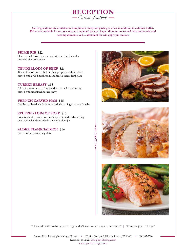

**Carving stations are available to compliment reception packages or as an addition to a dinner buffet. Prices are available for stations not accompanied by a package. All items are served with petite rolls and accompaniments. A \$75 attendant fee will apply per station.**

## **PRIME RIB** \$22

Slow roasted choice beef served with herb au jus and a horseradish cream sauce

#### **TENDERLOIN OF BEEF** \$26

Tender loin of beef rolled in black pepper and thinly sliced served with a wild mushroom and truffle laced demi glaze

## **TURKEY BREAST** \$15

All white meat breast of turkey slow roasted to perfection served with traditional turkey gravy

#### **FRENCH CARVED HAM** \$15

Raspberry glazed whole ham served with a ginger pineapple salsa

## **STUFFED LOIN OF PORK** \$16

Pork loin stuffed with dried royal apricots and herb stuffing oven roasted and served with an apple cider jus

## **ALDER PLANK SALMON** \$16

Served with citrus honey glaze





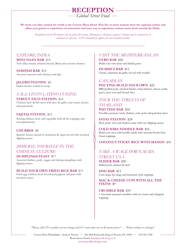**We invite you dine around the world at the Crowne Plaza Hotel. Pick five or more stations from the regional cuisine and allow your guests to experience an interactive and tasty way to experience various tastes from around the Globe.**

**RECEPTION** *Global Street Food*

*Receptions last for 90 minutes and are priced per person. Minimum of 40 guests required. Stations may be manned by an attendant or self-serve. A \$75 attendant fee applies for each attendant needed.*

# *EXPLORE INDIA*

**MINI NAAN BAR** \$15 Tofu tikka masala, chicken biryani, Raita and coconut chutney

**SAMOSAS BAR** \$14 Assorted samosas with chutney and dips

**JALEBIS STATION** \$5 Indian donuts soaked in syrup

# *SALSA INTO LATINO CUISINE*

**STREET TACO STATION** \$14 Chicken, beef & fish tacos with pico de gallo, sour cream, lettuce and guacamole

## **FAJITAS STATION** \$15

Sizzling chicken, beef and vegetable with all the toppings and accompaniments

## **CHURROS** \$8

Spanish donuts dusted in cinnamon & sugar served with assorted dipping sauces

# *IMMERSE YOURSELF IN THE CHINESE CULTURE*

#### **DUMPLINGS FEAST** \$17

Assorted chicken, pork, veggie and shrimp dumplings with dipping sauces

#### **BUILD YOUR OWN FRIED RICE BAR** \$11

Fried egg, chicken, beef, tri-colored peppers and peas with assorted sauces

# *VISIT THE MEDITERRANEAN*

**GYRO BAR** \$20 Build your own meat and falafel gyros

**HUMMUS BAR** \$11 Classic, edamame & garlic served with crudité

## *CANADIAN*

**POUTINE-BUILD YOUR OWN** \$22 BBQ pulled pork, smoked brisket, fried chicken, cheese curds, gravy, tator tots and French fries

# *TOUR THE STREETS OF*

*THAILAND* **PAD THAI BAR** \$24

Noodles, peanuts, basil, chicken, tofu, pork and pad thai sauce

**SATAY STATION** \$24 Beef, pork, tofu and chicken satay with two dipping sauces

**COLD SOBA NOODLE BAR** \$16 Build your own cold noodle salads with assorted South East Asian toppings

## **COCONUT STICKY RICE WITH MANGO** \$10

# *TAKE A WALK DOWN MAIN*

*STREET USA* **SLIDER BAR** \$20 Pulled pork, chicken & beef

**DOG BAR** \$13 Corn dogs, hot dogs and bratwurst with toppings

**MAC & CHEESE CUPS WITH ALL THE FIXINS** \$9

**CRUMBLE BAR** \$10 3 Assorted seasonal crumbles with ice cream and whipped toppings

\*Please add 23% taxable service charge and 6% state sales tax to all menu prices\* | \*Prices subject to change\*

Crowne Plaza Philadelphia - King of Prussia • 260 Mall Boulevard, King of Prussia, PA 19406 • 610-265-7500 Reservations Email: Sales@cpvalleyforge.com www.cpvalleyforge.com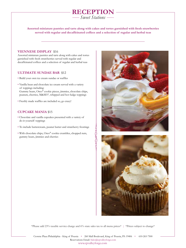

**Assorted miniature pastries and tarts along with cakes and tortes garnished with fresh strawberries served with regular and decaffeinated coffees and a selection of regular and herbal teas**

## **VIENNESE DISPLAY** \$16

Assorted miniature pastries and tarts along with cakes and tortes garnished with fresh strawberries served with regular and decaffeinated coffees and a selection of regular and herbal teas

## **ULTIMATE SUNDAE BAR** \$12

- Build your own ice cream sundae or waffles
- Vanilla bean and chocolate ice cream served with a variety of toppings including: Gummy bears, Oreo® cookie pieces, jimmies, chocolate chips, peanuts, cherries, M&M's®, whipped and hot fudge toppings
- Freshly made waffles are included so, go crazy!

## **CUPCAKE MANIA** \$15

- Chocolate and vanilla cupcakes presented with a variety of do-it-yourself toppings
- To include buttercream, peanut butter and strawberry frostings
- With chocolate chips, Oreo® cookie crumbles, chopped nuts, gummy bears, jimmies and cherries



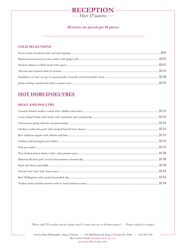

# All items are priced per 50 pieces

# **COLD SELECTIONS**

# **HOT HORS D'OEUVRES**

## **MEAT AND POULTRY**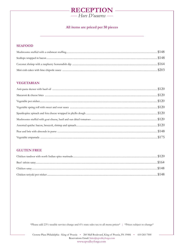# $\begin{array}{c}\n\textbf{RECEPTION} \longrightarrow \textbf{Hors D'oeuvres} \longrightarrow \end{array}$

# All items are priced per 50 pieces

# **SEAFOOD**

| $\hbox{Mushrooms stuffed with a crabmeat stuffing.}\label{thm:main}$ |  |
|----------------------------------------------------------------------|--|
|                                                                      |  |
|                                                                      |  |
|                                                                      |  |

## **VEGETARIAN**

# **GLUTEN FREE**